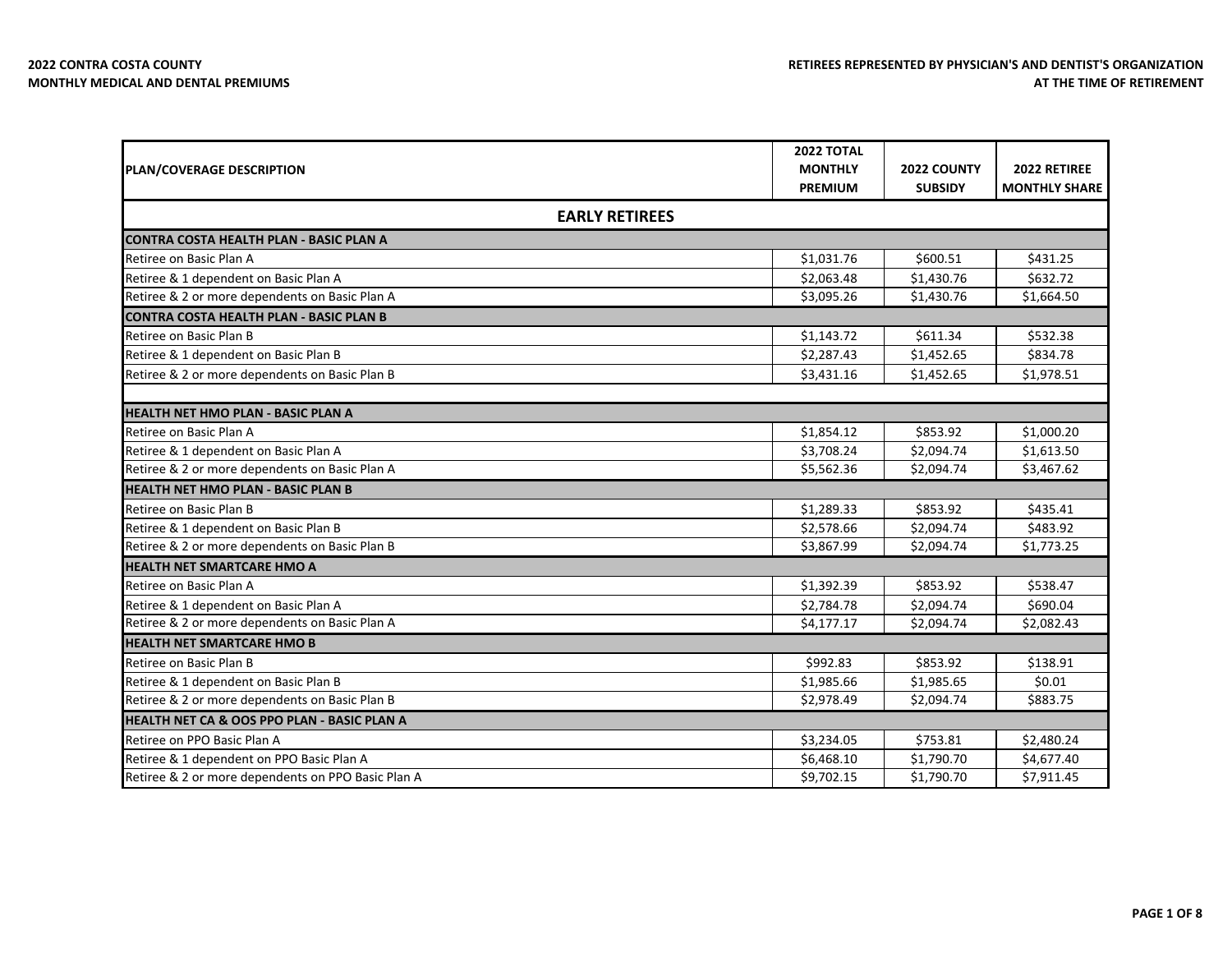|                                                        | <b>2022 TOTAL</b>     |                |                      |
|--------------------------------------------------------|-----------------------|----------------|----------------------|
| PLAN/COVERAGE DESCRIPTION                              | <b>MONTHLY</b>        | 2022 COUNTY    | 2022 RETIREE         |
|                                                        | <b>PREMIUM</b>        | <b>SUBSIDY</b> | <b>MONTHLY SHARE</b> |
|                                                        | <b>EARLY RETIREES</b> |                |                      |
| <b>CONTRA COSTA HEALTH PLAN - BASIC PLAN A</b>         |                       |                |                      |
| Retiree on Basic Plan A                                | \$1,031.76            | \$600.51       | \$431.25             |
| Retiree & 1 dependent on Basic Plan A                  | \$2,063.48            | \$1,430.76     | \$632.72             |
| Retiree & 2 or more dependents on Basic Plan A         | \$3,095.26            | \$1,430.76     | \$1,664.50           |
| <b>CONTRA COSTA HEALTH PLAN - BASIC PLAN B</b>         |                       |                |                      |
| Retiree on Basic Plan B                                | \$1,143.72            | \$611.34       | \$532.38             |
| Retiree & 1 dependent on Basic Plan B                  | \$2,287.43            | \$1,452.65     | \$834.78             |
| Retiree & 2 or more dependents on Basic Plan B         | \$3,431.16            | \$1,452.65     | \$1,978.51           |
|                                                        |                       |                |                      |
| <b>HEALTH NET HMO PLAN - BASIC PLAN A</b>              |                       |                |                      |
| Retiree on Basic Plan A                                | \$1,854.12            | \$853.92       | \$1,000.20           |
| Retiree & 1 dependent on Basic Plan A                  | \$3,708.24            | \$2,094.74     | \$1,613.50           |
| Retiree & 2 or more dependents on Basic Plan A         | \$5,562.36            | \$2,094.74     | \$3,467.62           |
| <b>HEALTH NET HMO PLAN - BASIC PLAN B</b>              |                       |                |                      |
| Retiree on Basic Plan B                                | \$1,289.33            | \$853.92       | \$435.41             |
| Retiree & 1 dependent on Basic Plan B                  | \$2,578.66            | \$2,094.74     | \$483.92             |
| Retiree & 2 or more dependents on Basic Plan B         | \$3,867.99            | \$2,094.74     | \$1,773.25           |
| <b>HEALTH NET SMARTCARE HMO A</b>                      |                       |                |                      |
| Retiree on Basic Plan A                                | \$1,392.39            | \$853.92       | \$538.47             |
| Retiree & 1 dependent on Basic Plan A                  | \$2,784.78            | \$2,094.74     | \$690.04             |
| Retiree & 2 or more dependents on Basic Plan A         | \$4,177.17            | \$2,094.74     | \$2,082.43           |
| <b>HEALTH NET SMARTCARE HMO B</b>                      |                       |                |                      |
| Retiree on Basic Plan B                                | \$992.83              | \$853.92       | \$138.91             |
| Retiree & 1 dependent on Basic Plan B                  | \$1,985.66            | \$1,985.65     | \$0.01               |
| Retiree & 2 or more dependents on Basic Plan B         | \$2,978.49            | \$2,094.74     | \$883.75             |
| <b>HEALTH NET CA &amp; OOS PPO PLAN - BASIC PLAN A</b> |                       |                |                      |
| Retiree on PPO Basic Plan A                            | \$3,234.05            | \$753.81       | \$2,480.24           |
| Retiree & 1 dependent on PPO Basic Plan A              | \$6,468.10            | \$1,790.70     | \$4,677.40           |
| Retiree & 2 or more dependents on PPO Basic Plan A     | \$9,702.15            | \$1,790.70     | \$7,911.45           |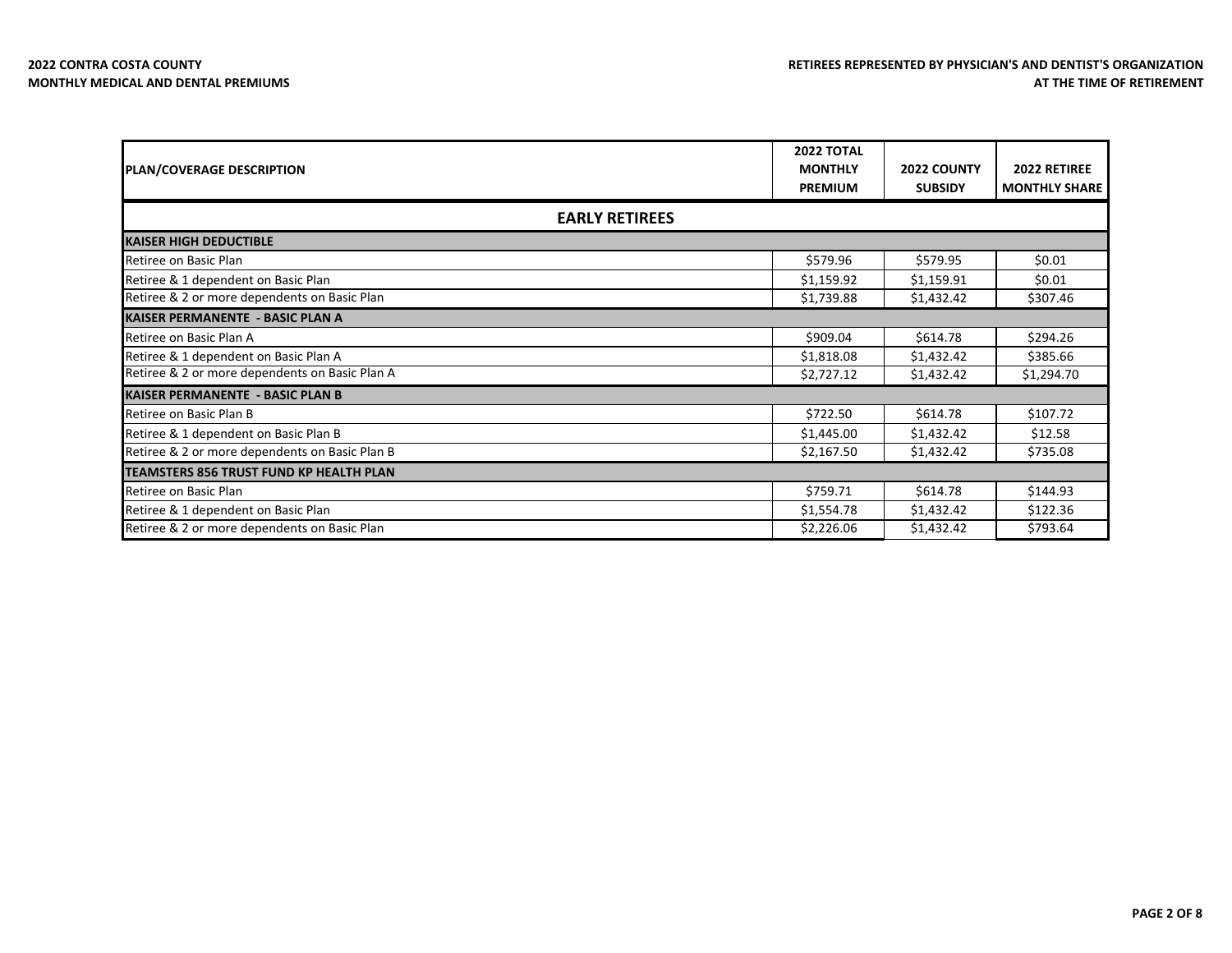| <b>PLAN/COVERAGE DESCRIPTION</b>               | 2022 TOTAL<br><b>MONTHLY</b> | <b>2022 COUNTY</b> | 2022 RETIREE         |
|------------------------------------------------|------------------------------|--------------------|----------------------|
|                                                | <b>PREMIUM</b>               | <b>SUBSIDY</b>     | <b>MONTHLY SHARE</b> |
| <b>EARLY RETIREES</b>                          |                              |                    |                      |
| <b>KAISER HIGH DEDUCTIBLE</b>                  |                              |                    |                      |
| Retiree on Basic Plan                          | \$579.96                     | \$579.95           | \$0.01               |
| Retiree & 1 dependent on Basic Plan            | \$1,159.92                   | \$1,159.91         | \$0.01               |
| Retiree & 2 or more dependents on Basic Plan   | \$1,739.88                   | \$1,432.42         | \$307.46             |
| <b>KAISER PERMANENTE - BASIC PLAN A</b>        |                              |                    |                      |
| Retiree on Basic Plan A                        | \$909.04                     | \$614.78           | \$294.26             |
| Retiree & 1 dependent on Basic Plan A          | \$1,818.08                   | \$1,432.42         | \$385.66             |
| Retiree & 2 or more dependents on Basic Plan A | \$2,727.12                   | \$1,432.42         | \$1,294.70           |
| <b>KAISER PERMANENTE - BASIC PLAN B</b>        |                              |                    |                      |
| Retiree on Basic Plan B                        | \$722.50                     | \$614.78           | \$107.72             |
| Retiree & 1 dependent on Basic Plan B          | \$1,445.00                   | \$1,432.42         | \$12.58              |
| Retiree & 2 or more dependents on Basic Plan B | \$2,167.50                   | \$1,432.42         | \$735.08             |
| TEAMSTERS 856 TRUST FUND KP HEALTH PLAN        |                              |                    |                      |
| Retiree on Basic Plan                          | \$759.71                     | \$614.78           | \$144.93             |
| Retiree & 1 dependent on Basic Plan            | \$1,554.78                   | \$1,432.42         | \$122.36             |
| Retiree & 2 or more dependents on Basic Plan   | \$2,226.06                   | \$1,432.42         | \$793.64             |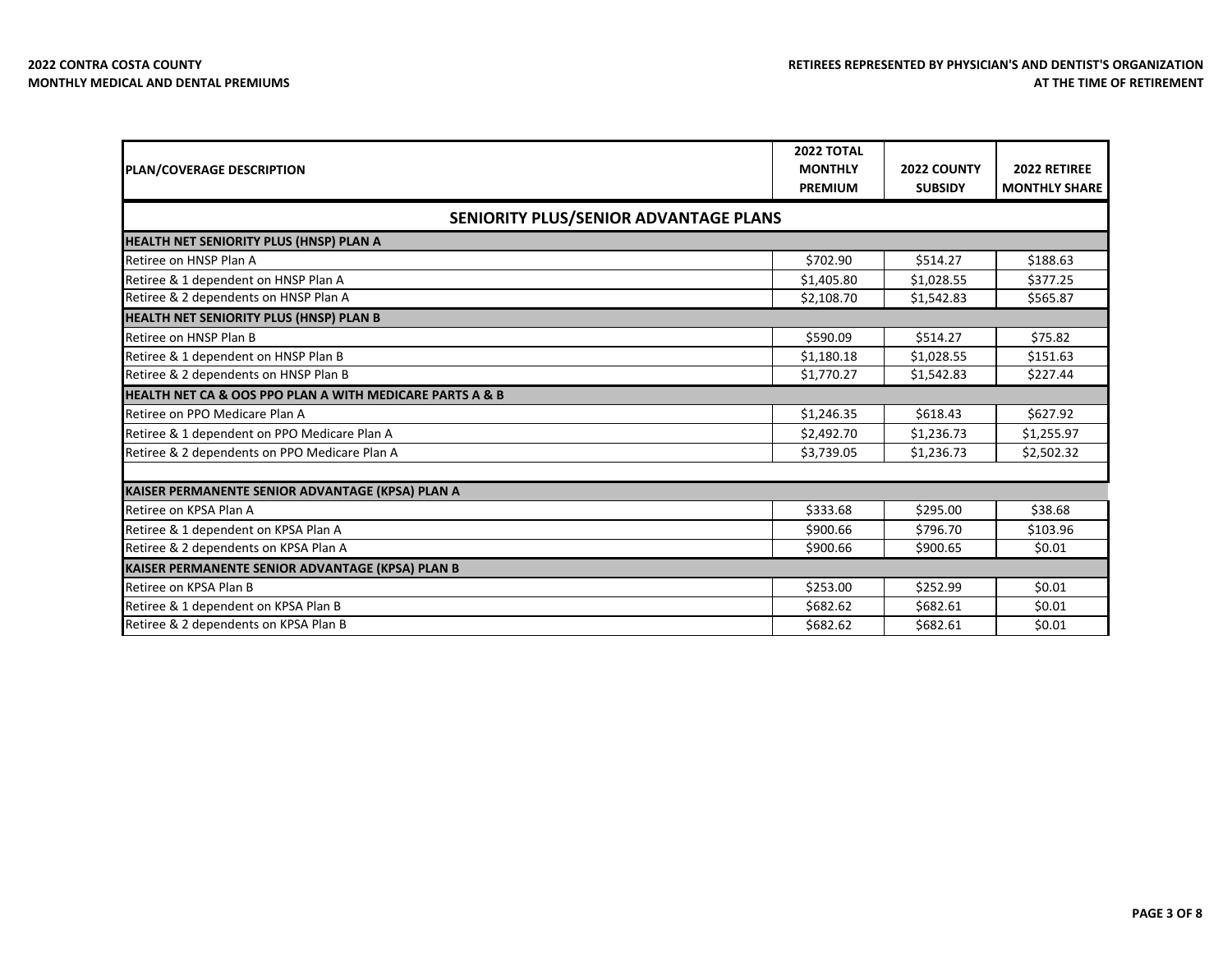| <b>PLAN/COVERAGE DESCRIPTION</b>                         | <b>2022 TOTAL</b><br><b>MONTHLY</b> | 2022 COUNTY    | 2022 RETIREE         |
|----------------------------------------------------------|-------------------------------------|----------------|----------------------|
|                                                          | <b>PREMIUM</b>                      | <b>SUBSIDY</b> | <b>MONTHLY SHARE</b> |
| SENIORITY PLUS/SENIOR ADVANTAGE PLANS                    |                                     |                |                      |
| <b>HEALTH NET SENIORITY PLUS (HNSP) PLAN A</b>           |                                     |                |                      |
| Retiree on HNSP Plan A                                   | \$702.90                            | \$514.27       | \$188.63             |
| Retiree & 1 dependent on HNSP Plan A                     | \$1,405.80                          | \$1,028.55     | \$377.25             |
| Retiree & 2 dependents on HNSP Plan A                    | \$2,108.70                          | \$1,542.83     | \$565.87             |
| HEALTH NET SENIORITY PLUS (HNSP) PLAN B                  |                                     |                |                      |
| Retiree on HNSP Plan B                                   | \$590.09                            | \$514.27       | \$75.82              |
| Retiree & 1 dependent on HNSP Plan B                     | \$1,180.18                          | \$1,028.55     | \$151.63             |
| Retiree & 2 dependents on HNSP Plan B                    | \$1,770.27                          | \$1,542.83     | \$227.44             |
| HEALTH NET CA & OOS PPO PLAN A WITH MEDICARE PARTS A & B |                                     |                |                      |
| Retiree on PPO Medicare Plan A                           | \$1,246.35                          | \$618.43       | \$627.92             |
| Retiree & 1 dependent on PPO Medicare Plan A             | \$2,492.70                          | \$1,236.73     | \$1,255.97           |
| Retiree & 2 dependents on PPO Medicare Plan A            | \$3,739.05                          | \$1,236.73     | \$2,502.32           |
|                                                          |                                     |                |                      |
| KAISER PERMANENTE SENIOR ADVANTAGE (KPSA) PLAN A         |                                     |                |                      |
| Retiree on KPSA Plan A                                   | \$333.68                            | \$295.00       | \$38.68              |
| Retiree & 1 dependent on KPSA Plan A                     | \$900.66                            | \$796.70       | \$103.96             |
| Retiree & 2 dependents on KPSA Plan A                    | \$900.66                            | \$900.65       | \$0.01               |
| KAISER PERMANENTE SENIOR ADVANTAGE (KPSA) PLAN B         |                                     |                |                      |
| Retiree on KPSA Plan B                                   | \$253.00                            | \$252.99       | \$0.01               |
| Retiree & 1 dependent on KPSA Plan B                     | \$682.62                            | \$682.61       | \$0.01               |
| Retiree & 2 dependents on KPSA Plan B                    | \$682.62                            | \$682.61       | \$0.01               |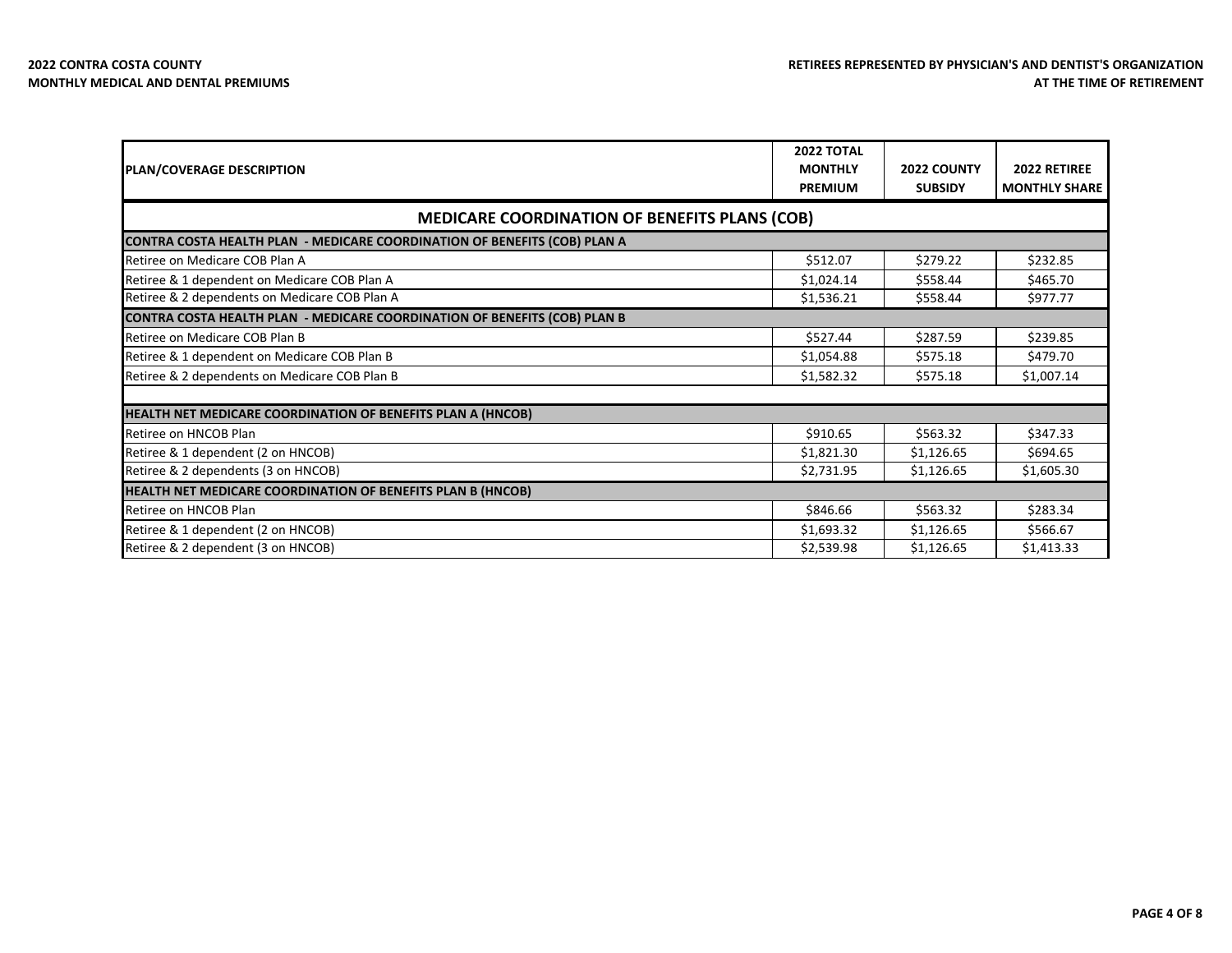| <b>PLAN/COVERAGE DESCRIPTION</b>                                          | 2022 TOTAL<br><b>MONTHLY</b> | 2022 COUNTY    | 2022 RETIREE         |
|---------------------------------------------------------------------------|------------------------------|----------------|----------------------|
|                                                                           | <b>PREMIUM</b>               | <b>SUBSIDY</b> | <b>MONTHLY SHARE</b> |
| <b>MEDICARE COORDINATION OF BENEFITS PLANS (COB)</b>                      |                              |                |                      |
| CONTRA COSTA HEALTH PLAN - MEDICARE COORDINATION OF BENEFITS (COB) PLAN A |                              |                |                      |
| Retiree on Medicare COB Plan A                                            | \$512.07                     | \$279.22       | \$232.85             |
| Retiree & 1 dependent on Medicare COB Plan A                              | \$1,024.14                   | \$558.44       | \$465.70             |
| Retiree & 2 dependents on Medicare COB Plan A                             | \$1,536.21                   | \$558.44       | \$977.77             |
| CONTRA COSTA HEALTH PLAN - MEDICARE COORDINATION OF BENEFITS (COB) PLAN B |                              |                |                      |
| Retiree on Medicare COB Plan B                                            | \$527.44                     | \$287.59       | \$239.85             |
| Retiree & 1 dependent on Medicare COB Plan B                              | \$1,054.88                   | \$575.18       | \$479.70             |
| Retiree & 2 dependents on Medicare COB Plan B                             | \$1,582.32                   | \$575.18       | \$1,007.14           |
|                                                                           |                              |                |                      |
| HEALTH NET MEDICARE COORDINATION OF BENEFITS PLAN A (HNCOB)               |                              |                |                      |
| Retiree on HNCOB Plan                                                     | \$910.65                     | \$563.32       | \$347.33             |
| Retiree & 1 dependent (2 on HNCOB)                                        | \$1,821.30                   | \$1,126.65     | \$694.65             |
| Retiree & 2 dependents (3 on HNCOB)                                       | \$2,731.95                   | \$1,126.65     | \$1,605.30           |
| HEALTH NET MEDICARE COORDINATION OF BENEFITS PLAN B (HNCOB)               |                              |                |                      |
| Retiree on HNCOB Plan                                                     | \$846.66                     | \$563.32       | \$283.34             |
| Retiree & 1 dependent (2 on HNCOB)                                        | \$1,693.32                   | \$1,126.65     | \$566.67             |
| Retiree & 2 dependent (3 on HNCOB)                                        | \$2,539.98                   | \$1,126.65     | \$1,413.33           |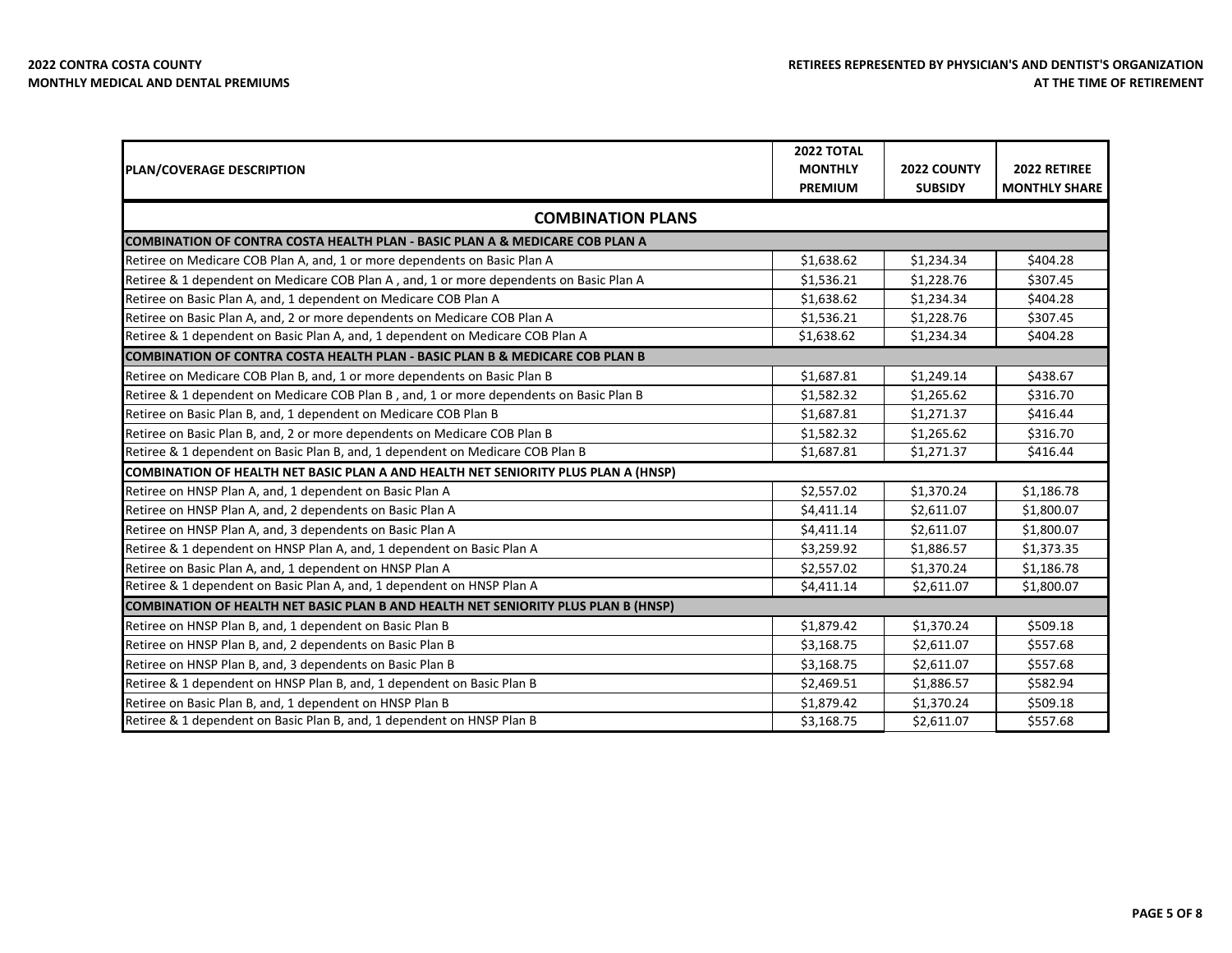| <b>PLAN/COVERAGE DESCRIPTION</b>                                                        | <b>2022 TOTAL</b><br><b>MONTHLY</b> | 2022 COUNTY    | 2022 RETIREE         |
|-----------------------------------------------------------------------------------------|-------------------------------------|----------------|----------------------|
|                                                                                         | <b>PREMIUM</b>                      | <b>SUBSIDY</b> | <b>MONTHLY SHARE</b> |
| <b>COMBINATION PLANS</b>                                                                |                                     |                |                      |
| COMBINATION OF CONTRA COSTA HEALTH PLAN - BASIC PLAN A & MEDICARE COB PLAN A            |                                     |                |                      |
| Retiree on Medicare COB Plan A, and, 1 or more dependents on Basic Plan A               | \$1,638.62                          | \$1,234.34     | \$404.28             |
| Retiree & 1 dependent on Medicare COB Plan A, and, 1 or more dependents on Basic Plan A | \$1,536.21                          | \$1,228.76     | \$307.45             |
| Retiree on Basic Plan A, and, 1 dependent on Medicare COB Plan A                        | \$1,638.62                          | \$1,234.34     | \$404.28             |
| Retiree on Basic Plan A, and, 2 or more dependents on Medicare COB Plan A               | \$1,536.21                          | \$1,228.76     | \$307.45             |
| Retiree & 1 dependent on Basic Plan A, and, 1 dependent on Medicare COB Plan A          | \$1,638.62                          | \$1,234.34     | \$404.28             |
| COMBINATION OF CONTRA COSTA HEALTH PLAN - BASIC PLAN B & MEDICARE COB PLAN B            |                                     |                |                      |
| Retiree on Medicare COB Plan B, and, 1 or more dependents on Basic Plan B               | \$1,687.81                          | \$1,249.14     | \$438.67             |
| Retiree & 1 dependent on Medicare COB Plan B, and, 1 or more dependents on Basic Plan B | \$1,582.32                          | \$1,265.62     | \$316.70             |
| Retiree on Basic Plan B, and, 1 dependent on Medicare COB Plan B                        | \$1,687.81                          | \$1,271.37     | \$416.44             |
| Retiree on Basic Plan B, and, 2 or more dependents on Medicare COB Plan B               | \$1,582.32                          | \$1,265.62     | \$316.70             |
| Retiree & 1 dependent on Basic Plan B, and, 1 dependent on Medicare COB Plan B          | \$1,687.81                          | \$1,271.37     | \$416.44             |
| COMBINATION OF HEALTH NET BASIC PLAN A AND HEALTH NET SENIORITY PLUS PLAN A (HNSP)      |                                     |                |                      |
| Retiree on HNSP Plan A, and, 1 dependent on Basic Plan A                                | \$2,557.02                          | \$1,370.24     | \$1,186.78           |
| Retiree on HNSP Plan A, and, 2 dependents on Basic Plan A                               | \$4,411.14                          | \$2,611.07     | \$1,800.07           |
| Retiree on HNSP Plan A, and, 3 dependents on Basic Plan A                               | \$4,411.14                          | \$2,611.07     | \$1,800.07           |
| Retiree & 1 dependent on HNSP Plan A, and, 1 dependent on Basic Plan A                  | \$3,259.92                          | \$1,886.57     | \$1,373.35           |
| Retiree on Basic Plan A, and, 1 dependent on HNSP Plan A                                | \$2,557.02                          | \$1,370.24     | \$1,186.78           |
| Retiree & 1 dependent on Basic Plan A, and, 1 dependent on HNSP Plan A                  | \$4,411.14                          | \$2,611.07     | \$1,800.07           |
| COMBINATION OF HEALTH NET BASIC PLAN B AND HEALTH NET SENIORITY PLUS PLAN B (HNSP)      |                                     |                |                      |
| Retiree on HNSP Plan B, and, 1 dependent on Basic Plan B                                | \$1,879.42                          | \$1,370.24     | \$509.18             |
| Retiree on HNSP Plan B, and, 2 dependents on Basic Plan B                               | \$3,168.75                          | \$2,611.07     | \$557.68             |
| Retiree on HNSP Plan B, and, 3 dependents on Basic Plan B                               | \$3,168.75                          | \$2,611.07     | \$557.68             |
| Retiree & 1 dependent on HNSP Plan B, and, 1 dependent on Basic Plan B                  | \$2,469.51                          | \$1,886.57     | \$582.94             |
| Retiree on Basic Plan B, and, 1 dependent on HNSP Plan B                                | \$1,879.42                          | \$1,370.24     | \$509.18             |
| Retiree & 1 dependent on Basic Plan B, and, 1 dependent on HNSP Plan B                  | \$3,168.75                          | \$2,611.07     | \$557.68             |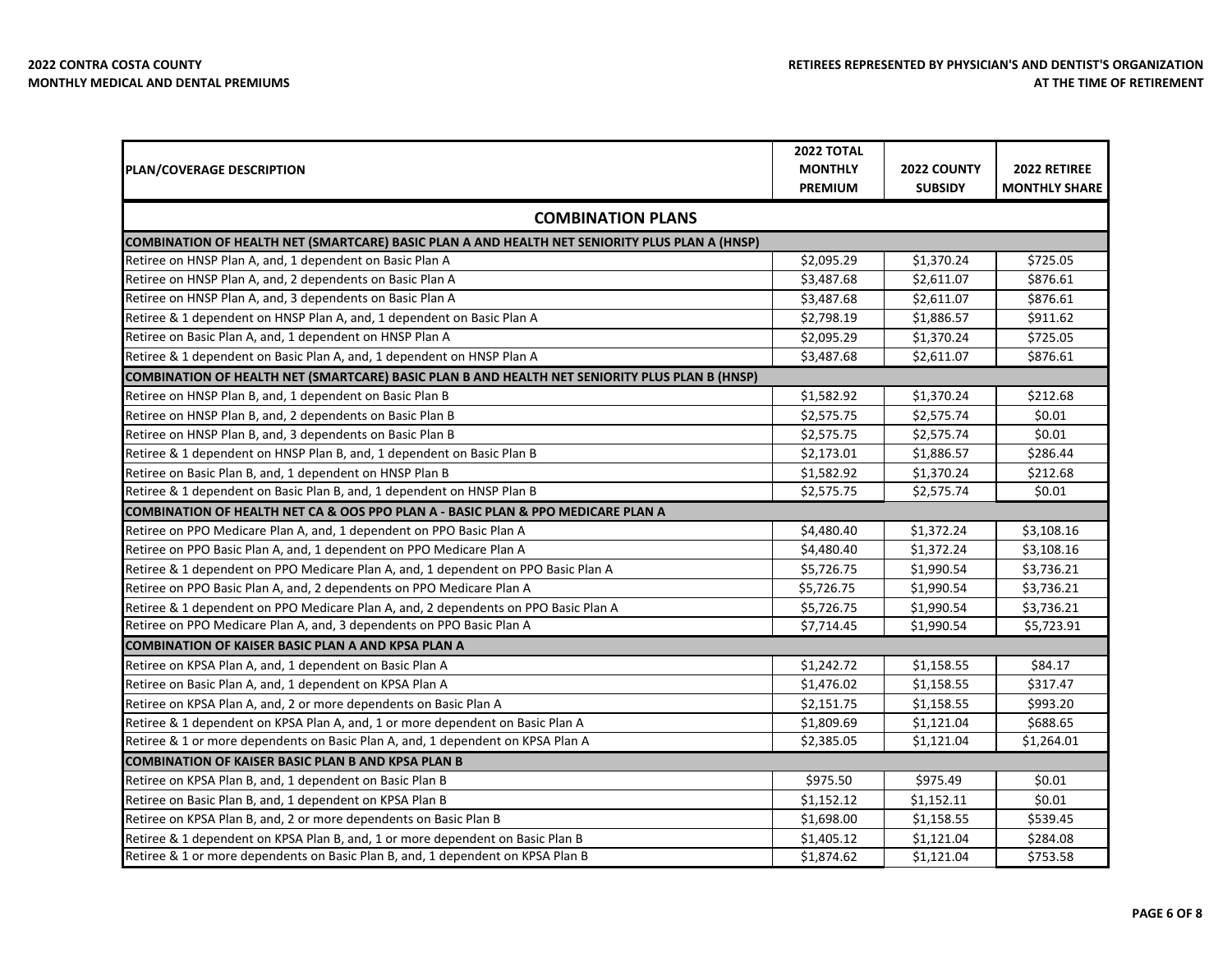**The State** 

| <b>PLAN/COVERAGE DESCRIPTION</b>                                                               | <b>2022 TOTAL</b><br><b>MONTHLY</b><br><b>PREMIUM</b> | 2022 COUNTY<br><b>SUBSIDY</b> | <b>2022 RETIREE</b><br><b>MONTHLY SHARE</b> |
|------------------------------------------------------------------------------------------------|-------------------------------------------------------|-------------------------------|---------------------------------------------|
| <b>COMBINATION PLANS</b>                                                                       |                                                       |                               |                                             |
| COMBINATION OF HEALTH NET (SMARTCARE) BASIC PLAN A AND HEALTH NET SENIORITY PLUS PLAN A (HNSP) |                                                       |                               |                                             |
| Retiree on HNSP Plan A, and, 1 dependent on Basic Plan A                                       | \$2,095.29                                            | \$1,370.24                    | \$725.05                                    |
| Retiree on HNSP Plan A, and, 2 dependents on Basic Plan A                                      | \$3,487.68                                            | \$2.611.07                    | \$876.61                                    |
| Retiree on HNSP Plan A, and, 3 dependents on Basic Plan A                                      | \$3,487.68                                            | \$2,611.07                    | \$876.61                                    |
| Retiree & 1 dependent on HNSP Plan A, and, 1 dependent on Basic Plan A                         | \$2,798.19                                            | \$1,886.57                    | \$911.62                                    |
| Retiree on Basic Plan A, and, 1 dependent on HNSP Plan A                                       | \$2,095.29                                            | \$1,370.24                    | \$725.05                                    |
| Retiree & 1 dependent on Basic Plan A, and, 1 dependent on HNSP Plan A                         | \$3,487.68                                            | \$2,611.07                    | \$876.61                                    |
| COMBINATION OF HEALTH NET (SMARTCARE) BASIC PLAN B AND HEALTH NET SENIORITY PLUS PLAN B (HNSP) |                                                       |                               |                                             |
| Retiree on HNSP Plan B, and, 1 dependent on Basic Plan B                                       | \$1,582.92                                            | \$1,370.24                    | \$212.68                                    |
| Retiree on HNSP Plan B, and, 2 dependents on Basic Plan B                                      | \$2,575.75                                            | \$2,575.74                    | \$0.01                                      |
| Retiree on HNSP Plan B, and, 3 dependents on Basic Plan B                                      | \$2,575.75                                            | \$2,575.74                    | \$0.01                                      |
| Retiree & 1 dependent on HNSP Plan B, and, 1 dependent on Basic Plan B                         | \$2,173.01                                            | \$1,886.57                    | \$286.44                                    |
| Retiree on Basic Plan B, and, 1 dependent on HNSP Plan B                                       | \$1,582.92                                            | \$1,370.24                    | \$212.68                                    |
| Retiree & 1 dependent on Basic Plan B, and, 1 dependent on HNSP Plan B                         | \$2,575.75                                            | \$2,575.74                    | \$0.01                                      |
| COMBINATION OF HEALTH NET CA & OOS PPO PLAN A - BASIC PLAN & PPO MEDICARE PLAN A               |                                                       |                               |                                             |
| Retiree on PPO Medicare Plan A, and, 1 dependent on PPO Basic Plan A                           | \$4,480.40                                            | \$1,372.24                    | \$3,108.16                                  |
| Retiree on PPO Basic Plan A, and, 1 dependent on PPO Medicare Plan A                           | \$4,480.40                                            | \$1,372.24                    | \$3,108.16                                  |
| Retiree & 1 dependent on PPO Medicare Plan A, and, 1 dependent on PPO Basic Plan A             | \$5,726.75                                            | \$1,990.54                    | \$3,736.21                                  |
| Retiree on PPO Basic Plan A, and, 2 dependents on PPO Medicare Plan A                          | \$5,726.75                                            | \$1,990.54                    | \$3,736.21                                  |
| Retiree & 1 dependent on PPO Medicare Plan A, and, 2 dependents on PPO Basic Plan A            | \$5,726.75                                            | \$1,990.54                    | \$3,736.21                                  |
| Retiree on PPO Medicare Plan A, and, 3 dependents on PPO Basic Plan A                          | \$7,714.45                                            | \$1,990.54                    | \$5,723.91                                  |
| ICOMBINATION OF KAISER BASIC PLAN A AND KPSA PLAN A                                            |                                                       |                               |                                             |
| Retiree on KPSA Plan A, and, 1 dependent on Basic Plan A                                       | \$1,242.72                                            | \$1,158.55                    | \$84.17                                     |
| Retiree on Basic Plan A, and, 1 dependent on KPSA Plan A                                       | \$1,476.02                                            | \$1,158.55                    | \$317.47                                    |
| Retiree on KPSA Plan A, and, 2 or more dependents on Basic Plan A                              | \$2,151.75                                            | \$1,158.55                    | \$993.20                                    |
| Retiree & 1 dependent on KPSA Plan A, and, 1 or more dependent on Basic Plan A                 | \$1,809.69                                            | \$1,121.04                    | \$688.65                                    |
| Retiree & 1 or more dependents on Basic Plan A, and, 1 dependent on KPSA Plan A                | \$2,385.05                                            | \$1,121.04                    | \$1,264.01                                  |
| <b>COMBINATION OF KAISER BASIC PLAN B AND KPSA PLAN B</b>                                      |                                                       |                               |                                             |
| Retiree on KPSA Plan B, and, 1 dependent on Basic Plan B                                       | \$975.50                                              | \$975.49                      | \$0.01                                      |
| Retiree on Basic Plan B, and, 1 dependent on KPSA Plan B                                       | \$1,152.12                                            | \$1,152.11                    | \$0.01                                      |
| Retiree on KPSA Plan B, and, 2 or more dependents on Basic Plan B                              | \$1,698.00                                            | \$1,158.55                    | \$539.45                                    |
| Retiree & 1 dependent on KPSA Plan B, and, 1 or more dependent on Basic Plan B                 | \$1,405.12                                            | \$1,121.04                    | \$284.08                                    |
| Retiree & 1 or more dependents on Basic Plan B, and, 1 dependent on KPSA Plan B                | \$1,874.62                                            | \$1,121.04                    | \$753.58                                    |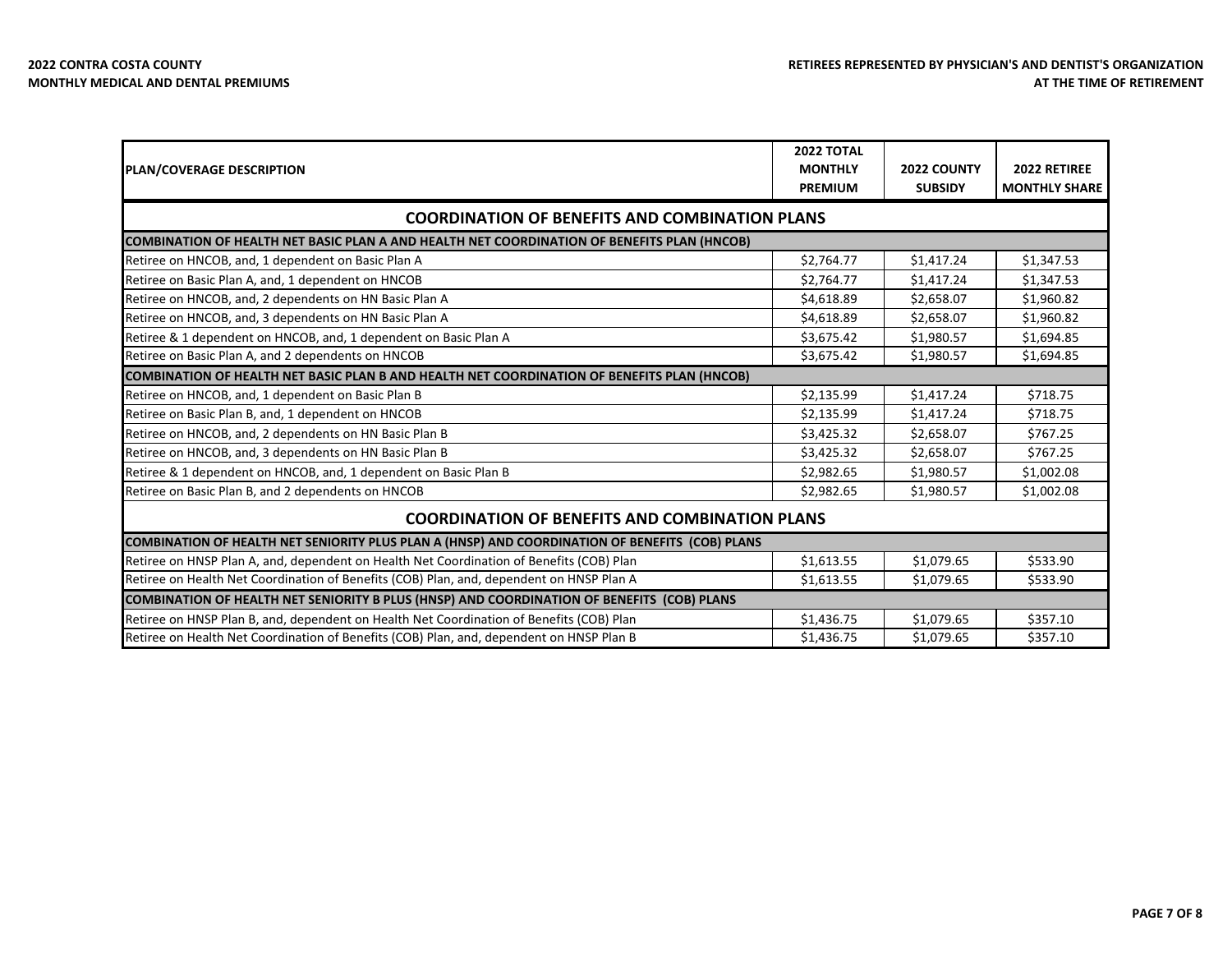| <b>PLAN/COVERAGE DESCRIPTION</b>                                                                   | 2022 TOTAL<br><b>MONTHLY</b><br><b>PREMIUM</b> | 2022 COUNTY<br><b>SUBSIDY</b> | 2022 RETIREE<br><b>MONTHLY SHARE</b> |
|----------------------------------------------------------------------------------------------------|------------------------------------------------|-------------------------------|--------------------------------------|
| <b>COORDINATION OF BENEFITS AND COMBINATION PLANS</b>                                              |                                                |                               |                                      |
| <b>COMBINATION OF HEALTH NET BASIC PLAN A AND HEALTH NET COORDINATION OF BENEFITS PLAN (HNCOB)</b> |                                                |                               |                                      |
| Retiree on HNCOB, and, 1 dependent on Basic Plan A                                                 | \$2,764.77                                     | \$1,417.24                    | \$1,347.53                           |
| Retiree on Basic Plan A, and, 1 dependent on HNCOB                                                 | \$2,764.77                                     | \$1,417.24                    | \$1,347.53                           |
| Retiree on HNCOB, and, 2 dependents on HN Basic Plan A                                             | \$4,618.89                                     | \$2,658.07                    | \$1,960.82                           |
| Retiree on HNCOB, and, 3 dependents on HN Basic Plan A                                             | \$4,618.89                                     | \$2,658.07                    | \$1,960.82                           |
| Retiree & 1 dependent on HNCOB, and, 1 dependent on Basic Plan A                                   | \$3,675.42                                     | \$1,980.57                    | \$1,694.85                           |
| Retiree on Basic Plan A, and 2 dependents on HNCOB                                                 | \$3,675.42                                     | \$1,980.57                    | \$1,694.85                           |
| COMBINATION OF HEALTH NET BASIC PLAN B AND HEALTH NET COORDINATION OF BENEFITS PLAN (HNCOB)        |                                                |                               |                                      |
| Retiree on HNCOB, and, 1 dependent on Basic Plan B                                                 | \$2,135.99                                     | \$1,417.24                    | \$718.75                             |
| Retiree on Basic Plan B, and, 1 dependent on HNCOB                                                 | \$2,135.99                                     | \$1,417.24                    | \$718.75                             |
| Retiree on HNCOB, and, 2 dependents on HN Basic Plan B                                             | \$3,425.32                                     | \$2,658.07                    | \$767.25                             |
| Retiree on HNCOB, and, 3 dependents on HN Basic Plan B                                             | \$3,425.32                                     | \$2,658.07                    | \$767.25                             |
| Retiree & 1 dependent on HNCOB, and, 1 dependent on Basic Plan B                                   | \$2,982.65                                     | \$1,980.57                    | \$1,002.08                           |
| Retiree on Basic Plan B, and 2 dependents on HNCOB                                                 | \$2,982.65                                     | \$1,980.57                    | \$1,002.08                           |
| <b>COORDINATION OF BENEFITS AND COMBINATION PLANS</b>                                              |                                                |                               |                                      |
| COMBINATION OF HEALTH NET SENIORITY PLUS PLAN A (HNSP) AND COORDINATION OF BENEFITS (COB) PLANS    |                                                |                               |                                      |
| Retiree on HNSP Plan A, and, dependent on Health Net Coordination of Benefits (COB) Plan           | \$1,613.55                                     | \$1,079.65                    | \$533.90                             |
| Retiree on Health Net Coordination of Benefits (COB) Plan, and, dependent on HNSP Plan A           | \$1,613.55                                     | \$1,079.65                    | \$533.90                             |
| COMBINATION OF HEALTH NET SENIORITY B PLUS (HNSP) AND COORDINATION OF BENEFITS (COB) PLANS         |                                                |                               |                                      |
| Retiree on HNSP Plan B, and, dependent on Health Net Coordination of Benefits (COB) Plan           | \$1,436.75                                     | \$1,079.65                    | \$357.10                             |
| Retiree on Health Net Coordination of Benefits (COB) Plan, and, dependent on HNSP Plan B           | \$1,436.75                                     | \$1,079.65                    | \$357.10                             |